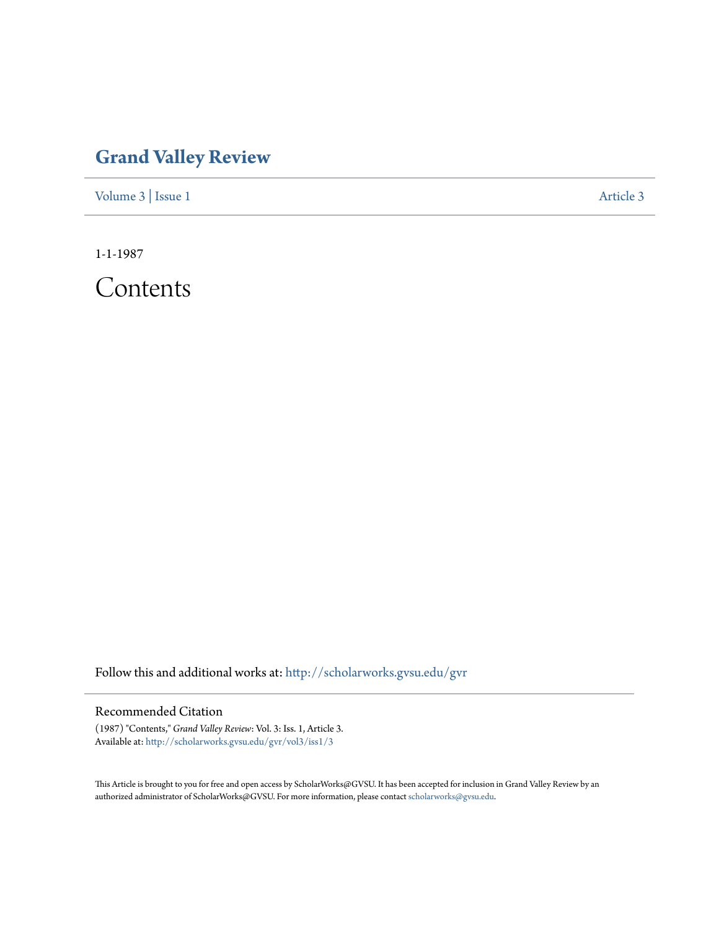## **[Grand Valley Review](http://scholarworks.gvsu.edu/gvr?utm_source=scholarworks.gvsu.edu%2Fgvr%2Fvol3%2Fiss1%2F3&utm_medium=PDF&utm_campaign=PDFCoverPages)**

[Volume 3](http://scholarworks.gvsu.edu/gvr/vol3?utm_source=scholarworks.gvsu.edu%2Fgvr%2Fvol3%2Fiss1%2F3&utm_medium=PDF&utm_campaign=PDFCoverPages) | [Issue 1](http://scholarworks.gvsu.edu/gvr/vol3/iss1?utm_source=scholarworks.gvsu.edu%2Fgvr%2Fvol3%2Fiss1%2F3&utm_medium=PDF&utm_campaign=PDFCoverPages) [Article 3](http://scholarworks.gvsu.edu/gvr/vol3/iss1/3?utm_source=scholarworks.gvsu.edu%2Fgvr%2Fvol3%2Fiss1%2F3&utm_medium=PDF&utm_campaign=PDFCoverPages)

1-1-1987

Contents

Follow this and additional works at: [http://scholarworks.gvsu.edu/gvr](http://scholarworks.gvsu.edu/gvr?utm_source=scholarworks.gvsu.edu%2Fgvr%2Fvol3%2Fiss1%2F3&utm_medium=PDF&utm_campaign=PDFCoverPages)

## Recommended Citation

(1987) "Contents," *Grand Valley Review*: Vol. 3: Iss. 1, Article 3. Available at: [http://scholarworks.gvsu.edu/gvr/vol3/iss1/3](http://scholarworks.gvsu.edu/gvr/vol3/iss1/3?utm_source=scholarworks.gvsu.edu%2Fgvr%2Fvol3%2Fiss1%2F3&utm_medium=PDF&utm_campaign=PDFCoverPages)

This Article is brought to you for free and open access by ScholarWorks@GVSU. It has been accepted for inclusion in Grand Valley Review by an authorized administrator of ScholarWorks@GVSU. For more information, please contact [scholarworks@gvsu.edu.](mailto:scholarworks@gvsu.edu)